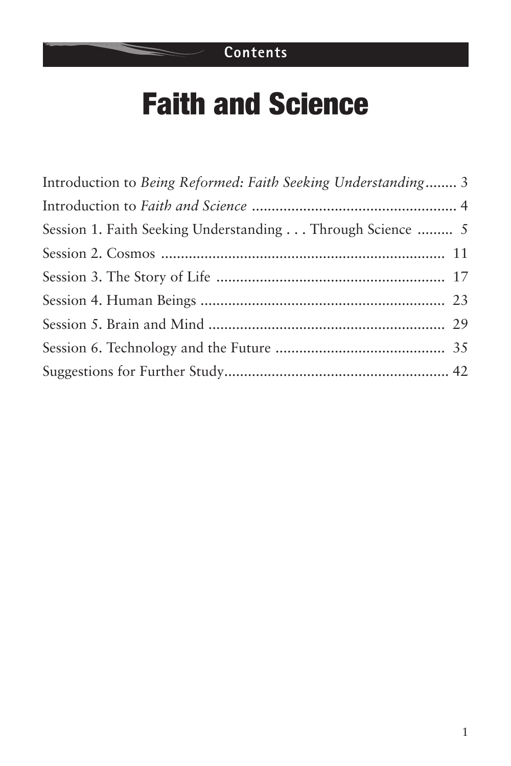# Faith and Science

| Introduction to Being Reformed: Faith Seeking Understanding 3 |  |
|---------------------------------------------------------------|--|
|                                                               |  |
| Session 1. Faith Seeking Understanding Through Science  5     |  |
|                                                               |  |
|                                                               |  |
|                                                               |  |
|                                                               |  |
|                                                               |  |
|                                                               |  |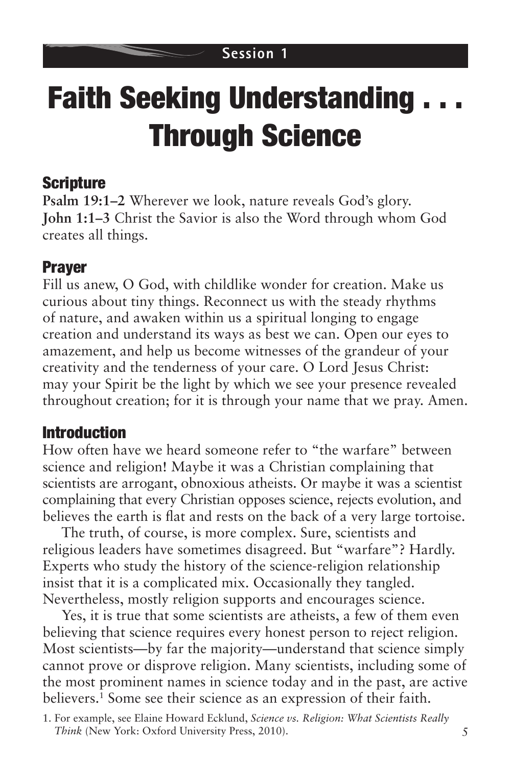# **Faith Seeking Understanding.** Through Science

### Scripture

**Psalm 19:1–2** Wherever we look, nature reveals God's glory. **John 1:1–3** Christ the Savior is also the Word through whom God creates all things.

## Prayer

Fill us anew, O God, with childlike wonder for creation. Make us curious about tiny things. Reconnect us with the steady rhythms of nature, and awaken within us a spiritual longing to engage creation and understand its ways as best we can. Open our eyes to amazement, and help us become witnesses of the grandeur of your creativity and the tenderness of your care. O Lord Jesus Christ: may your Spirit be the light by which we see your presence revealed throughout creation; for it is through your name that we pray. Amen.

### Introduction

How often have we heard someone refer to "the warfare" between science and religion! Maybe it was a Christian complaining that scientists are arrogant, obnoxious atheists. Or maybe it was a scientist complaining that every Christian opposes science, rejects evolution, and believes the earth is flat and rests on the back of a very large tortoise.

The truth, of course, is more complex. Sure, scientists and religious leaders have sometimes disagreed. But "warfare"? Hardly. Experts who study the history of the science-religion relationship insist that it is a complicated mix. Occasionally they tangled. Nevertheless, mostly religion supports and encourages science.

Yes, it is true that some scientists are atheists, a few of them even believing that science requires every honest person to reject religion. Most scientists—by far the majority—understand that science simply cannot prove or disprove religion. Many scientists, including some of the most prominent names in science today and in the past, are active believers.1 Some see their science as an expression of their faith.

<sup>1.</sup> For example, see Elaine Howard Ecklund, *Science vs. Religion: What Scientists Really Think* (New York: Oxford University Press, 2010).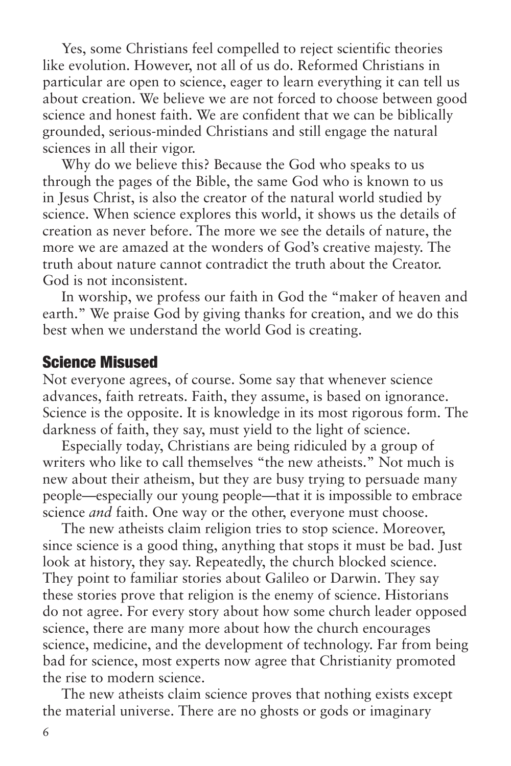Yes, some Christians feel compelled to reject scientific theories like evolution. However, not all of us do. Reformed Christians in particular are open to science, eager to learn everything it can tell us about creation. We believe we are not forced to choose between good science and honest faith. We are confident that we can be biblically grounded, serious-minded Christians and still engage the natural sciences in all their vigor.

Why do we believe this? Because the God who speaks to us through the pages of the Bible, the same God who is known to us in Jesus Christ, is also the creator of the natural world studied by science. When science explores this world, it shows us the details of creation as never before. The more we see the details of nature, the more we are amazed at the wonders of God's creative majesty. The truth about nature cannot contradict the truth about the Creator. God is not inconsistent.

In worship, we profess our faith in God the "maker of heaven and earth." We praise God by giving thanks for creation, and we do this best when we understand the world God is creating.

#### Science Misused

Not everyone agrees, of course. Some say that whenever science advances, faith retreats. Faith, they assume, is based on ignorance. Science is the opposite. It is knowledge in its most rigorous form. The darkness of faith, they say, must yield to the light of science.

Especially today, Christians are being ridiculed by a group of writers who like to call themselves "the new atheists." Not much is new about their atheism, but they are busy trying to persuade many people—especially our young people—that it is impossible to embrace science *and* faith. One way or the other, everyone must choose.

The new atheists claim religion tries to stop science. Moreover, since science is a good thing, anything that stops it must be bad. Just look at history, they say. Repeatedly, the church blocked science. They point to familiar stories about Galileo or Darwin. They say these stories prove that religion is the enemy of science. Historians do not agree. For every story about how some church leader opposed science, there are many more about how the church encourages science, medicine, and the development of technology. Far from being bad for science, most experts now agree that Christianity promoted the rise to modern science.

The new atheists claim science proves that nothing exists except the material universe. There are no ghosts or gods or imaginary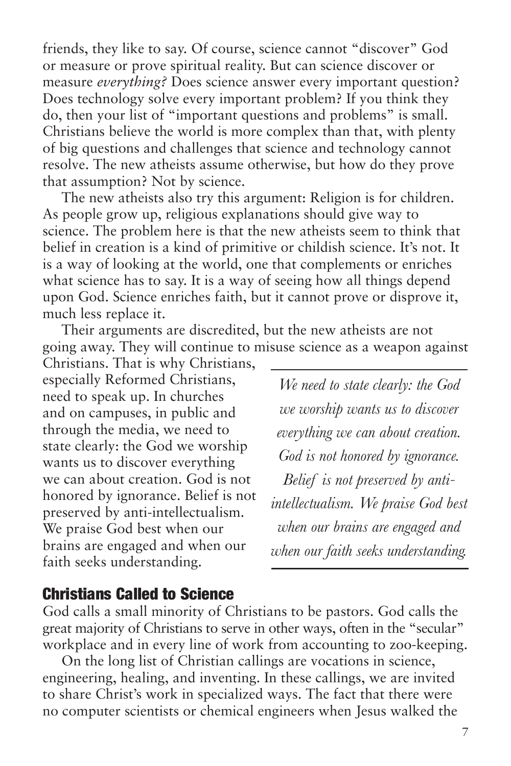friends, they like to say. Of course, science cannot "discover" God or measure or prove spiritual reality. But can science discover or measure *everything?* Does science answer every important question? Does technology solve every important problem? If you think they do, then your list of "important questions and problems" is small. Christians believe the world is more complex than that, with plenty of big questions and challenges that science and technology cannot resolve. The new atheists assume otherwise, but how do they prove that assumption? Not by science.

The new atheists also try this argument: Religion is for children. As people grow up, religious explanations should give way to science. The problem here is that the new atheists seem to think that belief in creation is a kind of primitive or childish science. It's not. It is a way of looking at the world, one that complements or enriches what science has to say. It is a way of seeing how all things depend upon God. Science enriches faith, but it cannot prove or disprove it, much less replace it.

Their arguments are discredited, but the new atheists are not going away. They will continue to misuse science as a weapon against

Christians. That is why Christians, especially Reformed Christians, need to speak up. In churches and on campuses, in public and through the media, we need to state clearly: the God we worship wants us to discover everything we can about creation. God is not honored by ignorance. Belief is not preserved by anti-intellectualism. We praise God best when our brains are engaged and when our faith seeks understanding.

*We need to state clearly: the God we worship wants us to discover everything we can about creation. God is not honored by ignorance. Belief is not preserved by antiintellectualism. We praise God best when our brains are engaged and when our faith seeks understanding.*

#### Christians Called to Science

God calls a small minority of Christians to be pastors. God calls the great majority of Christians to serve in other ways, often in the "secular" workplace and in every line of work from accounting to zoo-keeping.

On the long list of Christian callings are vocations in science, engineering, healing, and inventing. In these callings, we are invited to share Christ's work in specialized ways. The fact that there were no computer scientists or chemical engineers when Jesus walked the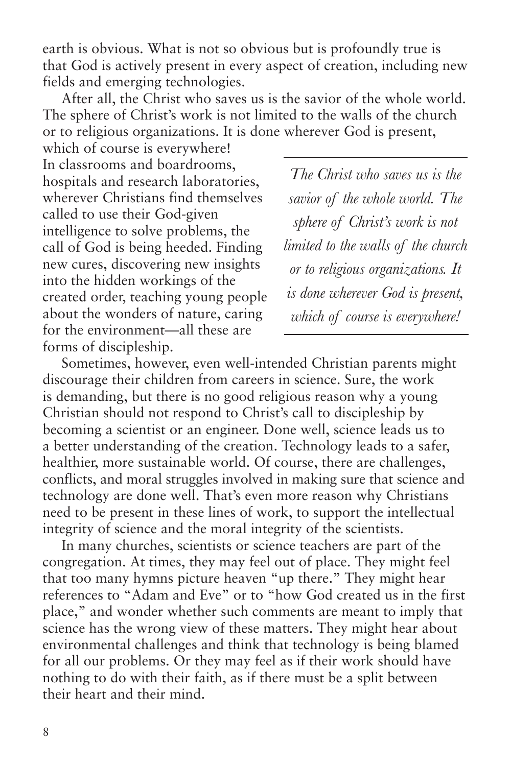earth is obvious. What is not so obvious but is profoundly true is that God is actively present in every aspect of creation, including new fields and emerging technologies.

After all, the Christ who saves us is the savior of the whole world. The sphere of Christ's work is not limited to the walls of the church or to religious organizations. It is done wherever God is present,

which of course is everywhere! In classrooms and boardrooms, hospitals and research laboratories, wherever Christians find themselves called to use their God-given intelligence to solve problems, the call of God is being heeded. Finding new cures, discovering new insights into the hidden workings of the created order, teaching young people about the wonders of nature, caring for the environment—all these are forms of discipleship.

*The Christ who saves us is the savior of the whole world. The sphere of Christ's work is not limited to the walls of the church or to religious organizations. It is done wherever God is present, which of course is everywhere!*

Sometimes, however, even well-intended Christian parents might discourage their children from careers in science. Sure, the work is demanding, but there is no good religious reason why a young Christian should not respond to Christ's call to discipleship by becoming a scientist or an engineer. Done well, science leads us to a better understanding of the creation. Technology leads to a safer, healthier, more sustainable world. Of course, there are challenges, conflicts, and moral struggles involved in making sure that science and technology are done well. That's even more reason why Christians need to be present in these lines of work, to support the intellectual integrity of science and the moral integrity of the scientists.

In many churches, scientists or science teachers are part of the congregation. At times, they may feel out of place. They might feel that too many hymns picture heaven "up there." They might hear references to "Adam and Eve" or to "how God created us in the first place," and wonder whether such comments are meant to imply that science has the wrong view of these matters. They might hear about environmental challenges and think that technology is being blamed for all our problems. Or they may feel as if their work should have nothing to do with their faith, as if there must be a split between their heart and their mind.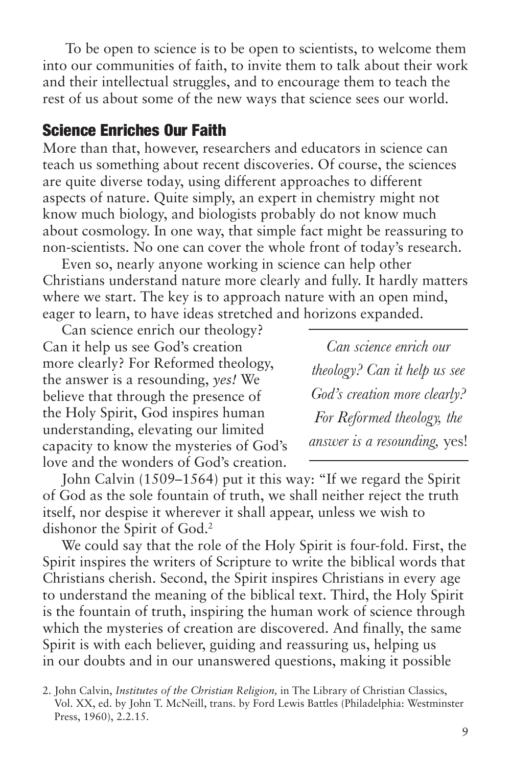To be open to science is to be open to scientists, to welcome them into our communities of faith, to invite them to talk about their work and their intellectual struggles, and to encourage them to teach the rest of us about some of the new ways that science sees our world.

#### Science Enriches Our Faith

More than that, however, researchers and educators in science can teach us something about recent discoveries. Of course, the sciences are quite diverse today, using different approaches to different aspects of nature. Quite simply, an expert in chemistry might not know much biology, and biologists probably do not know much about cosmology. In one way, that simple fact might be reassuring to non-scientists. No one can cover the whole front of today's research.

Even so, nearly anyone working in science can help other Christians understand nature more clearly and fully. It hardly matters where we start. The key is to approach nature with an open mind, eager to learn, to have ideas stretched and horizons expanded.

Can science enrich our theology? Can it help us see God's creation more clearly? For Reformed theology, the answer is a resounding, *yes!* We believe that through the presence of the Holy Spirit, God inspires human understanding, elevating our limited capacity to know the mysteries of God's love and the wonders of God's creation.

*Can science enrich our theology? Can it help us see God's creation more clearly? For Reformed theology, the answer is a resounding,* yes!

John Calvin (1509–1564) put it this way: "If we regard the Spirit of God as the sole fountain of truth, we shall neither reject the truth itself, nor despise it wherever it shall appear, unless we wish to dishonor the Spirit of God.2

We could say that the role of the Holy Spirit is four-fold. First, the Spirit inspires the writers of Scripture to write the biblical words that Christians cherish. Second, the Spirit inspires Christians in every age to understand the meaning of the biblical text. Third, the Holy Spirit is the fountain of truth, inspiring the human work of science through which the mysteries of creation are discovered. And finally, the same Spirit is with each believer, guiding and reassuring us, helping us in our doubts and in our unanswered questions, making it possible

<sup>2.</sup> John Calvin, *Institutes of the Christian Religion,* in The Library of Christian Classics, Vol. XX, ed. by John T. McNeill, trans. by Ford Lewis Battles (Philadelphia: Westminster Press, 1960), 2.2.15.